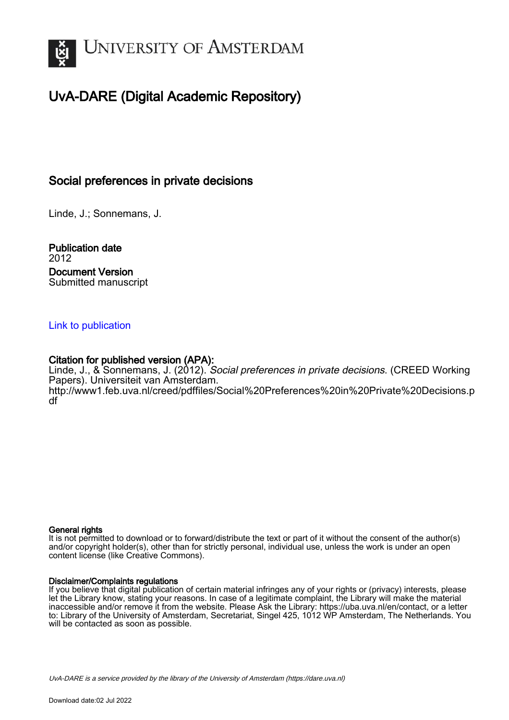

# UvA-DARE (Digital Academic Repository)

# Social preferences in private decisions

Linde, J.; Sonnemans, J.

Publication date 2012 Document Version Submitted manuscript

# [Link to publication](https://dare.uva.nl/personal/pure/en/publications/social-preferences-in-private-decisions(56a9c7d7-e9e7-4c40-9df3-2fba4632e26a).html)

# Citation for published version (APA):

Linde, J., & Sonnemans, J. (2012). Social preferences in private decisions. (CREED Working Papers). Universiteit van Amsterdam. [http://www1.feb.uva.nl/creed/pdffiles/Social%20Preferences%20in%20Private%20Decisions.p](http://www1.feb.uva.nl/creed/pdffiles/Social%20Preferences%20in%20Private%20Decisions.pdf) [df](http://www1.feb.uva.nl/creed/pdffiles/Social%20Preferences%20in%20Private%20Decisions.pdf)

#### General rights

It is not permitted to download or to forward/distribute the text or part of it without the consent of the author(s) and/or copyright holder(s), other than for strictly personal, individual use, unless the work is under an open content license (like Creative Commons).

#### Disclaimer/Complaints regulations

If you believe that digital publication of certain material infringes any of your rights or (privacy) interests, please let the Library know, stating your reasons. In case of a legitimate complaint, the Library will make the material inaccessible and/or remove it from the website. Please Ask the Library: https://uba.uva.nl/en/contact, or a letter to: Library of the University of Amsterdam, Secretariat, Singel 425, 1012 WP Amsterdam, The Netherlands. You will be contacted as soon as possible.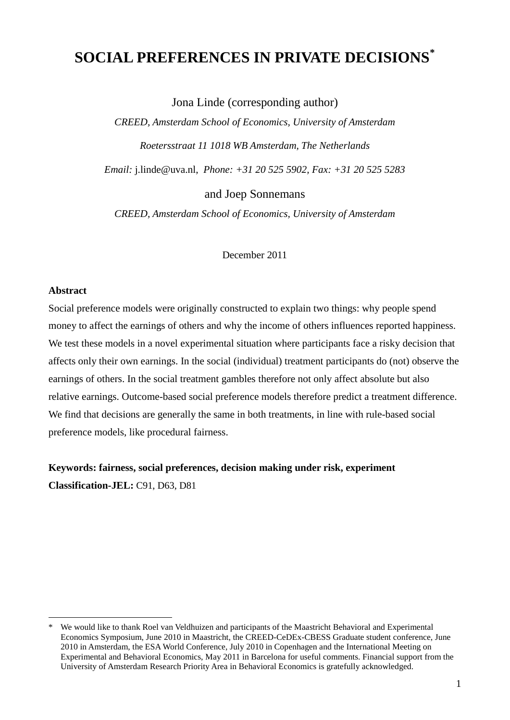# **SOCIAL PREFERENCES IN PRIVATE DECISIONS[\\*](#page-1-0)**

Jona Linde (corresponding author)

*CREED, Amsterdam School of Economics, University of Amsterdam Roetersstraat 11 1018 WB Amsterdam, The Netherlands*

*Email:* j.linde@uva.nl, *Phone: +31 20 525 5902, Fax: +31 20 525 5283*

and Joep Sonnemans

*CREED, Amsterdam School of Economics, University of Amsterdam*

December 2011

#### **Abstract**

Social preference models were originally constructed to explain two things: why people spend money to affect the earnings of others and why the income of others influences reported happiness. We test these models in a novel experimental situation where participants face a risky decision that affects only their own earnings. In the social (individual) treatment participants do (not) observe the earnings of others. In the social treatment gambles therefore not only affect absolute but also relative earnings. Outcome-based social preference models therefore predict a treatment difference. We find that decisions are generally the same in both treatments, in line with rule-based social preference models, like procedural fairness.

**Keywords: fairness, social preferences, decision making under risk, experiment Classification-JEL:** C91, D63, D81

<span id="page-1-0"></span> <sup>\*</sup> We would like to thank Roel van Veldhuizen and participants of the Maastricht Behavioral and Experimental Economics Symposium, June 2010 in Maastricht, the CREED-CeDEx-CBESS Graduate student conference, June 2010 in Amsterdam, the ESA World Conference, July 2010 in Copenhagen and the International Meeting on Experimental and Behavioral Economics, May 2011 in Barcelona for useful comments. Financial support from the University of Amsterdam Research Priority Area in Behavioral Economics is gratefully acknowledged.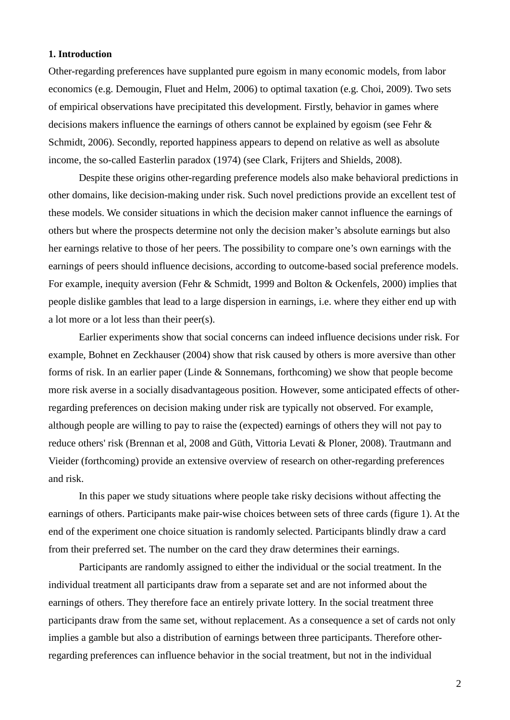### **1. Introduction**

Other-regarding preferences have supplanted pure egoism in many economic models, from labor economics (e.g. Demougin, Fluet and Helm, 2006) to optimal taxation (e.g. Choi, 2009). Two sets of empirical observations have precipitated this development. Firstly, behavior in games where decisions makers influence the earnings of others cannot be explained by egoism (see Fehr & Schmidt, 2006). Secondly, reported happiness appears to depend on relative as well as absolute income, the so-called Easterlin paradox (1974) (see Clark, Frijters and Shields, 2008).

Despite these origins other-regarding preference models also make behavioral predictions in other domains, like decision-making under risk. Such novel predictions provide an excellent test of these models. We consider situations in which the decision maker cannot influence the earnings of others but where the prospects determine not only the decision maker's absolute earnings but also her earnings relative to those of her peers. The possibility to compare one's own earnings with the earnings of peers should influence decisions, according to outcome-based social preference models. For example, inequity aversion (Fehr & Schmidt, 1999 and Bolton & Ockenfels, 2000) implies that people dislike gambles that lead to a large dispersion in earnings, i.e. where they either end up with a lot more or a lot less than their peer(s).

Earlier experiments show that social concerns can indeed influence decisions under risk. For example, Bohnet en Zeckhauser (2004) show that risk caused by others is more aversive than other forms of risk. In an earlier paper (Linde & Sonnemans, forthcoming) we show that people become more risk averse in a socially disadvantageous position. However, some anticipated effects of otherregarding preferences on decision making under risk are typically not observed. For example, although people are willing to pay to raise the (expected) earnings of others they will not pay to reduce others' risk (Brennan et al, 2008 and Güth, Vittoria Levati & Ploner, 2008). Trautmann and Vieider (forthcoming) provide an extensive overview of research on other-regarding preferences and risk.

In this paper we study situations where people take risky decisions without affecting the earnings of others. Participants make pair-wise choices between sets of three cards (figure 1). At the end of the experiment one choice situation is randomly selected. Participants blindly draw a card from their preferred set. The number on the card they draw determines their earnings.

Participants are randomly assigned to either the individual or the social treatment. In the individual treatment all participants draw from a separate set and are not informed about the earnings of others. They therefore face an entirely private lottery. In the social treatment three participants draw from the same set, without replacement. As a consequence a set of cards not only implies a gamble but also a distribution of earnings between three participants. Therefore otherregarding preferences can influence behavior in the social treatment, but not in the individual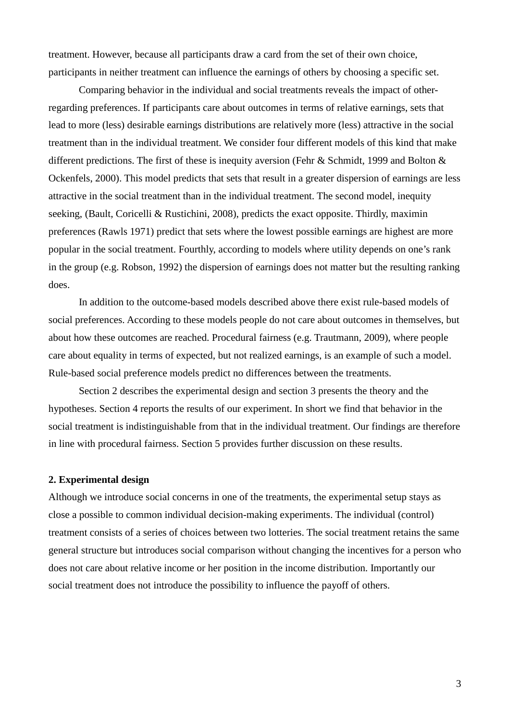treatment. However, because all participants draw a card from the set of their own choice, participants in neither treatment can influence the earnings of others by choosing a specific set.

Comparing behavior in the individual and social treatments reveals the impact of otherregarding preferences. If participants care about outcomes in terms of relative earnings, sets that lead to more (less) desirable earnings distributions are relatively more (less) attractive in the social treatment than in the individual treatment. We consider four different models of this kind that make different predictions. The first of these is inequity aversion (Fehr & Schmidt, 1999 and Bolton & Ockenfels, 2000). This model predicts that sets that result in a greater dispersion of earnings are less attractive in the social treatment than in the individual treatment. The second model, inequity seeking, (Bault, Coricelli & Rustichini, 2008), predicts the exact opposite. Thirdly, maximin preferences (Rawls 1971) predict that sets where the lowest possible earnings are highest are more popular in the social treatment. Fourthly, according to models where utility depends on one's rank in the group (e.g. Robson, 1992) the dispersion of earnings does not matter but the resulting ranking does.

In addition to the outcome-based models described above there exist rule-based models of social preferences. According to these models people do not care about outcomes in themselves, but about how these outcomes are reached. Procedural fairness (e.g. Trautmann, 2009), where people care about equality in terms of expected, but not realized earnings, is an example of such a model. Rule-based social preference models predict no differences between the treatments.

Section 2 describes the experimental design and section 3 presents the theory and the hypotheses. Section 4 reports the results of our experiment. In short we find that behavior in the social treatment is indistinguishable from that in the individual treatment. Our findings are therefore in line with procedural fairness. Section 5 provides further discussion on these results.

#### **2. Experimental design**

Although we introduce social concerns in one of the treatments, the experimental setup stays as close a possible to common individual decision-making experiments. The individual (control) treatment consists of a series of choices between two lotteries. The social treatment retains the same general structure but introduces social comparison without changing the incentives for a person who does not care about relative income or her position in the income distribution. Importantly our social treatment does not introduce the possibility to influence the payoff of others.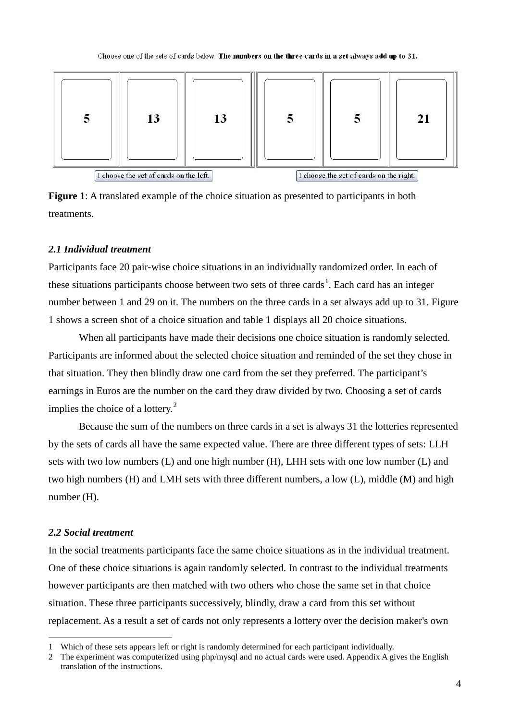

**Figure 1**: A translated example of the choice situation as presented to participants in both treatments.

#### *2.1 Individual treatment*

Participants face 20 pair-wise choice situations in an individually randomized order. In each of these situations participants choose between two sets of three cards<sup>[1](#page-4-0)</sup>. Each card has an integer number between 1 and 29 on it. The numbers on the three cards in a set always add up to 31. Figure 1 shows a screen shot of a choice situation and table 1 displays all 20 choice situations.

When all participants have made their decisions one choice situation is randomly selected. Participants are informed about the selected choice situation and reminded of the set they chose in that situation. They then blindly draw one card from the set they preferred. The participant's earnings in Euros are the number on the card they draw divided by two. Choosing a set of cards implies the choice of a lottery. $2^2$  $2^2$ 

Because the sum of the numbers on three cards in a set is always 31 the lotteries represented by the sets of cards all have the same expected value. There are three different types of sets: LLH sets with two low numbers (L) and one high number (H), LHH sets with one low number (L) and two high numbers (H) and LMH sets with three different numbers, a low (L), middle (M) and high number (H).

#### *2.2 Social treatment*

In the social treatments participants face the same choice situations as in the individual treatment. One of these choice situations is again randomly selected. In contrast to the individual treatments however participants are then matched with two others who chose the same set in that choice situation. These three participants successively, blindly, draw a card from this set without replacement. As a result a set of cards not only represents a lottery over the decision maker's own

<span id="page-4-2"></span><span id="page-4-0"></span> <sup>1</sup> Which of these sets appears left or right is randomly determined for each participant individually.

<span id="page-4-1"></span><sup>2</sup> The experiment was computerized using php/mysql and no actual cards were used. Appendix A gives the English translation of the instructions.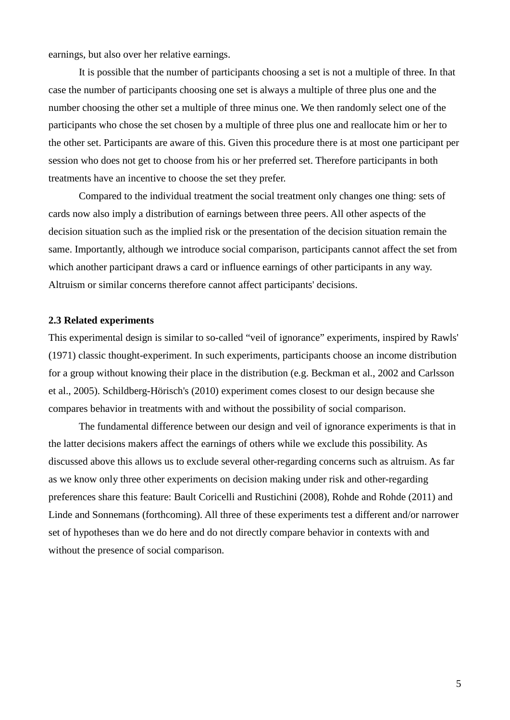earnings, but also over her relative earnings.

It is possible that the number of participants choosing a set is not a multiple of three. In that case the number of participants choosing one set is always a multiple of three plus one and the number choosing the other set a multiple of three minus one. We then randomly select one of the participants who chose the set chosen by a multiple of three plus one and reallocate him or her to the other set. Participants are aware of this. Given this procedure there is at most one participant per session who does not get to choose from his or her preferred set. Therefore participants in both treatments have an incentive to choose the set they prefer.

Compared to the individual treatment the social treatment only changes one thing: sets of cards now also imply a distribution of earnings between three peers. All other aspects of the decision situation such as the implied risk or the presentation of the decision situation remain the same. Importantly, although we introduce social comparison, participants cannot affect the set from which another participant draws a card or influence earnings of other participants in any way. Altruism or similar concerns therefore cannot affect participants' decisions.

#### **2.3 Related experiments**

This experimental design is similar to so-called "veil of ignorance" experiments, inspired by Rawls' (1971) classic thought-experiment. In such experiments, participants choose an income distribution for a group without knowing their place in the distribution (e.g. Beckman et al., 2002 and Carlsson et al., 2005). Schildberg-Hörisch's (2010) experiment comes closest to our design because she compares behavior in treatments with and without the possibility of social comparison.

The fundamental difference between our design and veil of ignorance experiments is that in the latter decisions makers affect the earnings of others while we exclude this possibility. As discussed above this allows us to exclude several other-regarding concerns such as altruism. As far as we know only three other experiments on decision making under risk and other-regarding preferences share this feature: Bault Coricelli and Rustichini (2008), Rohde and Rohde (2011) and Linde and Sonnemans (forthcoming). All three of these experiments test a different and/or narrower set of hypotheses than we do here and do not directly compare behavior in contexts with and without the presence of social comparison.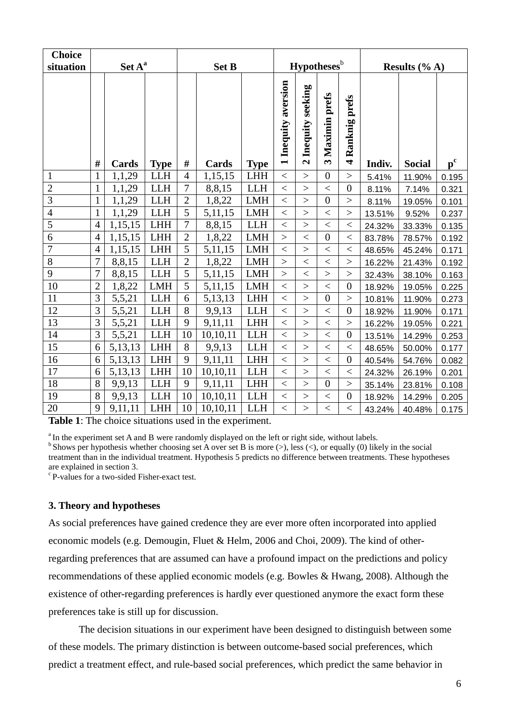| <b>Choice</b>                           |                              |                   |                          |                     |                                |                          |                                               |                                          |                         |                                 |                  |               |                           |
|-----------------------------------------|------------------------------|-------------------|--------------------------|---------------------|--------------------------------|--------------------------|-----------------------------------------------|------------------------------------------|-------------------------|---------------------------------|------------------|---------------|---------------------------|
| situation                               | Set A <sup>a</sup>           |                   |                          | <b>Set B</b>        |                                |                          | <b>Hypotheses</b> <sup>b</sup>                |                                          |                         |                                 | Results $(\% A)$ |               |                           |
|                                         |                              |                   |                          |                     |                                |                          | Inequity aversion<br>$\overline{\phantom{0}}$ | Inequity seeking<br>$\mathbf{\tilde{c}}$ | 3 Maximin prefs         | Ranknig prefs<br>$\overline{a}$ |                  |               |                           |
|                                         | #                            | Cards             | <b>Type</b>              | $\#$                | Cards                          | <b>Type</b>              |                                               |                                          |                         |                                 | Indiv.           | <b>Social</b> | $\mathbf{p}^{\mathrm{c}}$ |
| $\mathbf{1}$                            | $\mathbf{1}$                 | 1,1,29            | <b>LLH</b>               | $\overline{4}$<br>7 | 1,15,15                        | LHH                      | $\lt$                                         | $\geq$                                   | $\boldsymbol{0}$        | $\geq$                          | 5.41%            | 11.90%        | 0.195                     |
| $\overline{2}$<br>$\overline{3}$        | $\mathbf{1}$                 | 1,1,29            | <b>LLH</b>               | $\overline{2}$      | 8,8,15                         | <b>LLH</b>               | $\,<\,$                                       | $\geq$                                   | $<\,$<br>$\overline{0}$ | $\boldsymbol{0}$                | 8.11%            | 7.14%         | 0.321                     |
| $\overline{4}$                          | $\mathbf{1}$<br>$\mathbf{1}$ | 1,1,29            | <b>LLH</b><br><b>LLH</b> | 5                   | 1,8,22                         | <b>LMH</b><br><b>LMH</b> | $\lt$                                         | $\geq$                                   |                         | $\geq$                          | 8.11%            | 19.05%        | 0.101                     |
| $\overline{5}$                          | $\overline{4}$               | 1,1,29<br>1,15,15 | <b>LHH</b>               | $\overline{7}$      | 5,11,15                        | <b>LLH</b>               | $\,<$                                         | $\geq$<br>$\geq$                         | $\,<$                   | $\qquad \qquad$                 | 13.51%           | 9.52%         | 0.237                     |
| $\overline{6}$                          |                              |                   |                          |                     | 8,8,15                         |                          | $\,<$                                         |                                          | $\,<$<br>$\overline{0}$ | $\,<$                           | 24.32%           | 33.33%        | 0.135                     |
|                                         | $\overline{4}$               | 1,15,15           | <b>LHH</b>               | $\overline{2}$      | 1,8,22                         | <b>LMH</b>               | $\geq$                                        | $\lt$                                    |                         | $<\,$                           | 83.78%           | 78.57%        | 0.192                     |
| $\overline{7}$                          | $\overline{4}$               | 1,15,15           | <b>LHH</b>               | 5                   | 5, 11, 15                      | <b>LMH</b>               | $<\,$                                         | $\geq$                                   | $<\,$                   | $\,<$                           | 48.65%           | 45.24%        | 0.171                     |
| 8                                       | $\overline{7}$               | 8,8,15            | <b>LLH</b>               | $\overline{2}$      | 1,8,22                         | <b>LMH</b>               | $\geq$                                        | $\,<$                                    | $\,<$                   | $\rm{>}$                        | 16.22%           | 21.43%        | 0.192                     |
| 9                                       | $\boldsymbol{7}$             | 8,8,15            | <b>LLH</b>               | 5                   | 5,11,15                        | <b>LMH</b>               | $\geq$                                        | $\,<$                                    | $\geq$                  | $\geq$                          | 32.43%           | 38.10%        | 0.163                     |
| 10                                      | $\overline{2}$               | 1,8,22            | <b>LMH</b>               | $\overline{5}$      | 5, 11, 15                      | <b>LMH</b>               | $\overline{\left\langle \right\rangle }$      | $\geq$                                   | $\lt$                   | $\boldsymbol{0}$                | 18.92%           | 19.05%        | 0.225                     |
| 11                                      | 3                            | 5,5,21            | <b>LLH</b>               | 6                   | 5,13,13                        | <b>LHH</b>               | $\,<$                                         | $\geq$                                   | $\boldsymbol{0}$        | $\,>$                           | 10.81%           | 11.90%        | 0.273                     |
| 12                                      | 3                            | 5,5,21            | <b>LLH</b>               | 8                   | 9,9,13                         | <b>LLH</b>               | $\lt$                                         | $\geq$                                   | $\lt$                   | $\overline{0}$                  | 18.92%           | 11.90%        | 0.171                     |
| 13                                      | 3                            | 5,5,21            | <b>LLH</b>               | 9                   | 9,11,11                        | <b>LHH</b>               | $\,<$                                         | $\geq$                                   | $\,<$                   | $\geq$                          | 16.22%           | 19.05%        | 0.221                     |
| 14                                      | $\overline{3}$               | 5,5,21            | <b>LLH</b>               | 10                  | 10,10,11                       | $LLH$                    | $\,<$                                         | $\mathbf{L}$                             | $\lt$                   | $\boldsymbol{0}$                | 13.51%           | 14.29%        | 0.253                     |
| 15                                      | 6                            | 5,13,13           | <b>LHH</b>               | 8                   | 9,9,13                         | <b>LLH</b>               | $\,<$                                         | $\geq$                                   | $<\,$                   | $<\,$                           | 48.65%           | 50.00%        | 0.177                     |
| 16                                      | 6                            | 5,13,13           | ${\rm LHH}$              | 9                   | 9,11,11                        | <b>LHH</b>               | $\lt$                                         | $\geq$                                   | $\lt$                   | $\overline{0}$                  | 40.54%           | 54.76%        | 0.082                     |
| 17                                      | 6                            | 5,13,13           | <b>LHH</b>               | 10                  | 10,10,11                       | <b>LLH</b>               | $\,<$                                         | $\geq$                                   | $<\,$                   | $\,<$                           | 24.32%           | 26.19%        | 0.201                     |
| 18                                      | 8                            | 9,9,13            | <b>LLH</b>               | 9                   | 9,11,11                        | <b>LHH</b>               | $\lt$                                         | $\geq$                                   | $\boldsymbol{0}$        | >                               | 35.14%           | 23.81%        | 0.108                     |
| 19                                      | 8                            | 9,9,13            | <b>LLH</b>               | 10                  | 10,10,11                       | <b>LLH</b>               | $\,<$                                         | $\geq$                                   | $<\,$                   | $\overline{0}$                  | 18.92%           | 14.29%        | 0.205                     |
| 20<br>TRAINING THE CONDITION OF CHARGES | 9                            | 9,11,11           | <b>LHH</b>               | 10                  | 10,10,11<br>concert the attack | <b>LLH</b>               | $\,<$                                         | >                                        | $<\,$                   | $<\,$                           | 43.24%           | 40.48%        | 0.175                     |

**Table 1**: The choice situations used in the experiment.

<sup>a</sup> In the experiment set A and B were randomly displayed on the left or right side, without labels.  $b$  Shows per hypothesis whether choosing set A over set B is more (>), less (<), or equally (0) likely in the social treatment than in the individual treatment. Hypothesis 5 predicts no difference between treatments. These hypotheses are explained in section 3.

c P-values for a two-sided Fisher-exact test.

# **3. Theory and hypotheses**

As social preferences have gained credence they are ever more often incorporated into applied economic models (e.g. Demougin, Fluet & Helm, 2006 and Choi, 2009). The kind of otherregarding preferences that are assumed can have a profound impact on the predictions and policy recommendations of these applied economic models (e.g. Bowles & Hwang, 2008). Although the existence of other-regarding preferences is hardly ever questioned anymore the exact form these preferences take is still up for discussion.

The decision situations in our experiment have been designed to distinguish between some of these models. The primary distinction is between outcome-based social preferences, which predict a treatment effect, and rule-based social preferences, which predict the same behavior in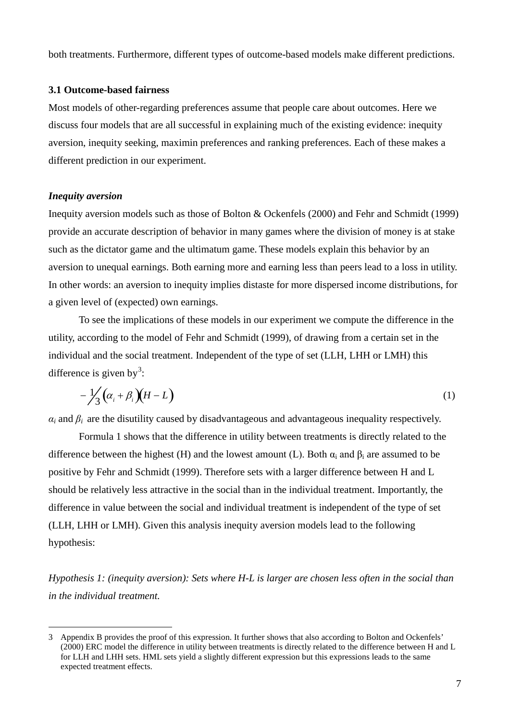both treatments. Furthermore, different types of outcome-based models make different predictions.

# **3.1 Outcome-based fairness**

Most models of other-regarding preferences assume that people care about outcomes. Here we discuss four models that are all successful in explaining much of the existing evidence: inequity aversion, inequity seeking, maximin preferences and ranking preferences. Each of these makes a different prediction in our experiment.

#### *Inequity aversion*

Inequity aversion models such as those of Bolton & Ockenfels (2000) and Fehr and Schmidt (1999) provide an accurate description of behavior in many games where the division of money is at stake such as the dictator game and the ultimatum game. These models explain this behavior by an aversion to unequal earnings. Both earning more and earning less than peers lead to a loss in utility. In other words: an aversion to inequity implies distaste for more dispersed income distributions, for a given level of (expected) own earnings.

To see the implications of these models in our experiment we compute the difference in the utility, according to the model of Fehr and Schmidt (1999), of drawing from a certain set in the individual and the social treatment. Independent of the type of set (LLH, LHH or LMH) this difference is given by<sup>[3](#page-4-2)</sup>:

$$
-\frac{1}{3}\left(\alpha_i+\beta_i\right)\left(H-L\right) \tag{1}
$$

 $\alpha_i$  and  $\beta_i$  are the disutility caused by disadvantageous and advantageous inequality respectively.

Formula 1 shows that the difference in utility between treatments is directly related to the difference between the highest (H) and the lowest amount (L). Both  $\alpha_i$  and  $\beta_i$  are assumed to be positive by Fehr and Schmidt (1999). Therefore sets with a larger difference between H and L should be relatively less attractive in the social than in the individual treatment. Importantly, the difference in value between the social and individual treatment is independent of the type of set (LLH, LHH or LMH). Given this analysis inequity aversion models lead to the following hypothesis:

*Hypothesis 1: (inequity aversion): Sets where H-L is larger are chosen less often in the social than in the individual treatment.*

 <sup>3</sup> Appendix B provides the proof of this expression. It further shows that also according to Bolton and Ockenfels' (2000) ERC model the difference in utility between treatments is directly related to the difference between H and L for LLH and LHH sets. HML sets yield a slightly different expression but this expressions leads to the same expected treatment effects.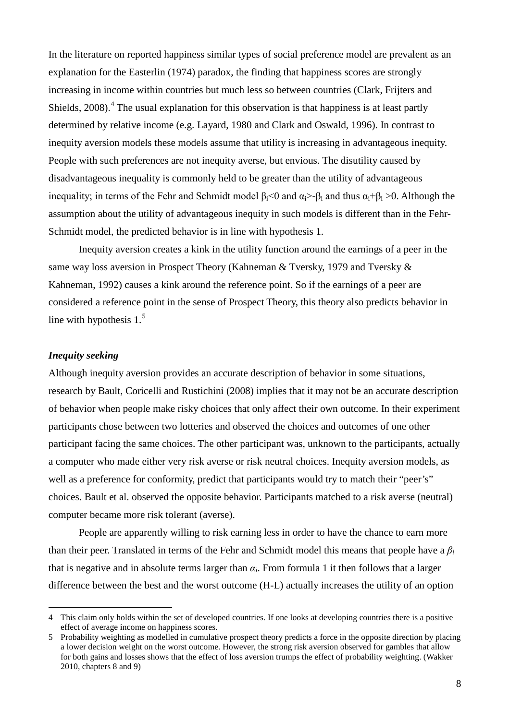In the literature on reported happiness similar types of social preference model are prevalent as an explanation for the Easterlin (1974) paradox, the finding that happiness scores are strongly increasing in income within countries but much less so between countries (Clark, Frijters and Shields,  $2008$ ).<sup>[4](#page-8-0)</sup> The usual explanation for this observation is that happiness is at least partly determined by relative income (e.g. Layard, 1980 and Clark and Oswald, 1996). In contrast to inequity aversion models these models assume that utility is increasing in advantageous inequity. People with such preferences are not inequity averse, but envious. The disutility caused by disadvantageous inequality is commonly held to be greater than the utility of advantageous inequality; in terms of the Fehr and Schmidt model  $\beta_i$ <0 and  $\alpha_i$ >- $\beta_i$  and thus  $\alpha_i$ + $\beta_i$  >0. Although the assumption about the utility of advantageous inequity in such models is different than in the Fehr-Schmidt model, the predicted behavior is in line with hypothesis 1.

Inequity aversion creates a kink in the utility function around the earnings of a peer in the same way loss aversion in Prospect Theory (Kahneman & Tversky, 1979 and Tversky & Kahneman, 1992) causes a kink around the reference point. So if the earnings of a peer are considered a reference point in the sense of Prospect Theory, this theory also predicts behavior in line with hypothesis  $1<sup>5</sup>$  $1<sup>5</sup>$  $1<sup>5</sup>$ 

### *Inequity seeking*

Although inequity aversion provides an accurate description of behavior in some situations, research by Bault, Coricelli and Rustichini (2008) implies that it may not be an accurate description of behavior when people make risky choices that only affect their own outcome. In their experiment participants chose between two lotteries and observed the choices and outcomes of one other participant facing the same choices. The other participant was, unknown to the participants, actually a computer who made either very risk averse or risk neutral choices. Inequity aversion models, as well as a preference for conformity, predict that participants would try to match their "peer's" choices. Bault et al. observed the opposite behavior. Participants matched to a risk averse (neutral) computer became more risk tolerant (averse).

People are apparently willing to risk earning less in order to have the chance to earn more than their peer. Translated in terms of the Fehr and Schmidt model this means that people have a  $\beta_i$ that is negative and in absolute terms larger than  $\alpha_i$ . From formula 1 it then follows that a larger difference between the best and the worst outcome (H-L) actually increases the utility of an option

<span id="page-8-0"></span> <sup>4</sup> This claim only holds within the set of developed countries. If one looks at developing countries there is a positive effect of average income on happiness scores.

<span id="page-8-1"></span><sup>5</sup> Probability weighting as modelled in cumulative prospect theory predicts a force in the opposite direction by placing a lower decision weight on the worst outcome. However, the strong risk aversion observed for gambles that allow for both gains and losses shows that the effect of loss aversion trumps the effect of probability weighting. (Wakker 2010, chapters 8 and 9)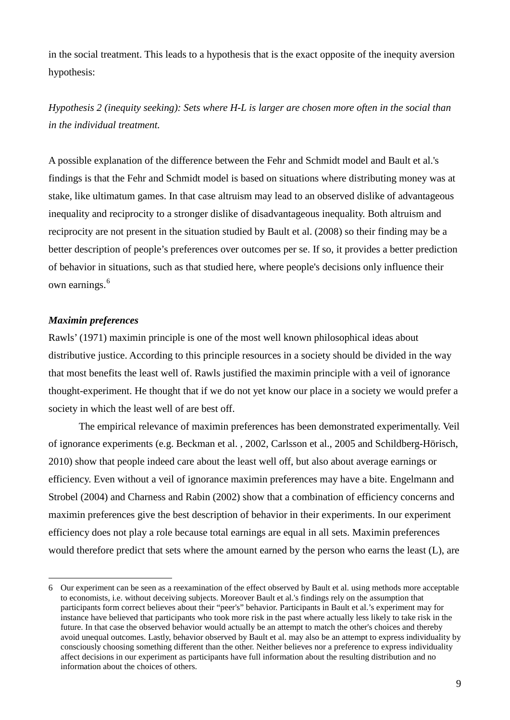in the social treatment. This leads to a hypothesis that is the exact opposite of the inequity aversion hypothesis:

*Hypothesis 2 (inequity seeking): Sets where H-L is larger are chosen more often in the social than in the individual treatment.*

A possible explanation of the difference between the Fehr and Schmidt model and Bault et al.'s findings is that the Fehr and Schmidt model is based on situations where distributing money was at stake, like ultimatum games. In that case altruism may lead to an observed dislike of advantageous inequality and reciprocity to a stronger dislike of disadvantageous inequality. Both altruism and reciprocity are not present in the situation studied by Bault et al. (2008) so their finding may be a better description of people's preferences over outcomes per se. If so, it provides a better prediction of behavior in situations, such as that studied here, where people's decisions only influence their own earnings.<sup>[6](#page-9-0)</sup>

#### *Maximin preferences*

Rawls' (1971) maximin principle is one of the most well known philosophical ideas about distributive justice. According to this principle resources in a society should be divided in the way that most benefits the least well of. Rawls justified the maximin principle with a veil of ignorance thought-experiment. He thought that if we do not yet know our place in a society we would prefer a society in which the least well of are best off.

The empirical relevance of maximin preferences has been demonstrated experimentally. Veil of ignorance experiments (e.g. Beckman et al. , 2002, Carlsson et al., 2005 and Schildberg-Hörisch, 2010) show that people indeed care about the least well off, but also about average earnings or efficiency. Even without a veil of ignorance maximin preferences may have a bite. Engelmann and Strobel (2004) and Charness and Rabin (2002) show that a combination of efficiency concerns and maximin preferences give the best description of behavior in their experiments. In our experiment efficiency does not play a role because total earnings are equal in all sets. Maximin preferences would therefore predict that sets where the amount earned by the person who earns the least (L), are

<span id="page-9-0"></span> <sup>6</sup> Our experiment can be seen as a reexamination of the effect observed by Bault et al. using methods more acceptable to economists, i.e. without deceiving subjects. Moreover Bault et al.'s findings rely on the assumption that participants form correct believes about their "peer's" behavior. Participants in Bault et al.'s experiment may for instance have believed that participants who took more risk in the past where actually less likely to take risk in the future. In that case the observed behavior would actually be an attempt to match the other's choices and thereby avoid unequal outcomes. Lastly, behavior observed by Bault et al. may also be an attempt to express individuality by consciously choosing something different than the other. Neither believes nor a preference to express individuality affect decisions in our experiment as participants have full information about the resulting distribution and no information about the choices of others.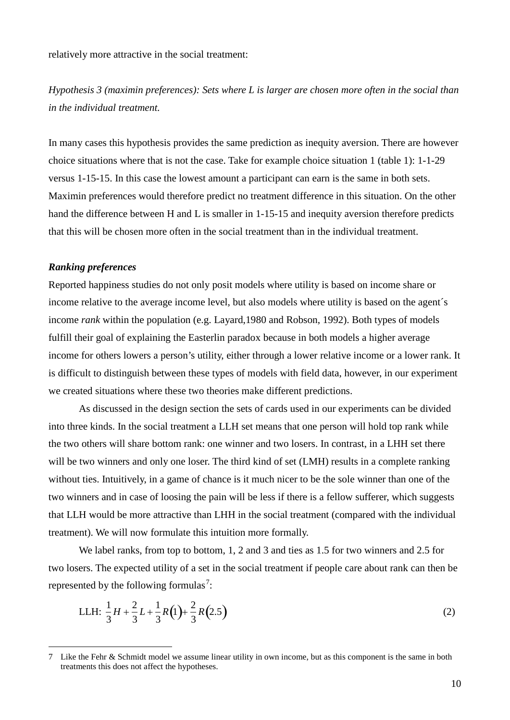relatively more attractive in the social treatment:

*Hypothesis 3 (maximin preferences): Sets where L is larger are chosen more often in the social than in the individual treatment.*

In many cases this hypothesis provides the same prediction as inequity aversion. There are however choice situations where that is not the case. Take for example choice situation 1 (table 1): 1-1-29 versus 1-15-15. In this case the lowest amount a participant can earn is the same in both sets. Maximin preferences would therefore predict no treatment difference in this situation. On the other hand the difference between H and L is smaller in 1-15-15 and inequity aversion therefore predicts that this will be chosen more often in the social treatment than in the individual treatment.

#### *Ranking preferences*

-

Reported happiness studies do not only posit models where utility is based on income share or income relative to the average income level, but also models where utility is based on the agent´s income *rank* within the population (e.g. Layard,1980 and Robson, 1992). Both types of models fulfill their goal of explaining the Easterlin paradox because in both models a higher average income for others lowers a person's utility, either through a lower relative income or a lower rank. It is difficult to distinguish between these types of models with field data, however, in our experiment we created situations where these two theories make different predictions.

As discussed in the design section the sets of cards used in our experiments can be divided into three kinds. In the social treatment a LLH set means that one person will hold top rank while the two others will share bottom rank: one winner and two losers. In contrast, in a LHH set there will be two winners and only one loser. The third kind of set (LMH) results in a complete ranking without ties. Intuitively, in a game of chance is it much nicer to be the sole winner than one of the two winners and in case of loosing the pain will be less if there is a fellow sufferer, which suggests that LLH would be more attractive than LHH in the social treatment (compared with the individual treatment). We will now formulate this intuition more formally.

We label ranks, from top to bottom, 1, 2 and 3 and ties as 1.5 for two winners and 2.5 for two losers. The expected utility of a set in the social treatment if people care about rank can then be represented by the following formulas<sup>[7](#page-10-0)</sup>:

LLH: 
$$
\frac{1}{3}H + \frac{2}{3}L + \frac{1}{3}R(1) + \frac{2}{3}R(2.5)
$$
 (2)

<span id="page-10-0"></span><sup>7</sup> Like the Fehr & Schmidt model we assume linear utility in own income, but as this component is the same in both treatments this does not affect the hypotheses.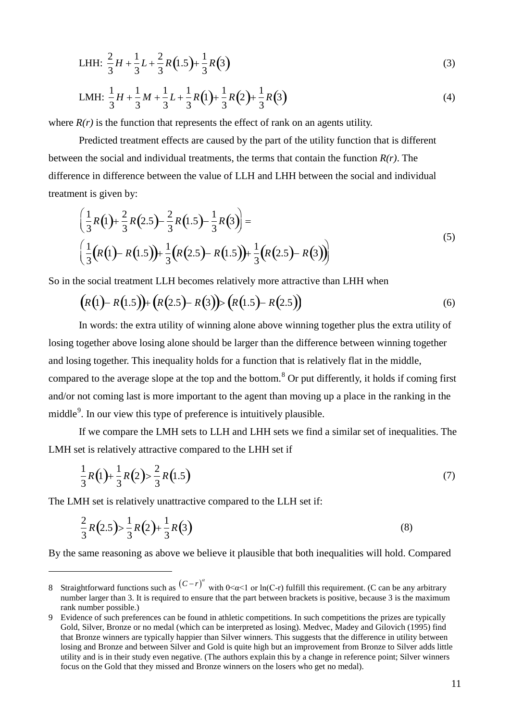LHH: 
$$
\frac{2}{3}H + \frac{1}{3}L + \frac{2}{3}R(1.5) + \frac{1}{3}R(3)
$$
 (3)

$$
LMH: \frac{1}{3}H + \frac{1}{3}M + \frac{1}{3}L + \frac{1}{3}R(1) + \frac{1}{3}R(2) + \frac{1}{3}R(3)
$$
\n(4)

where  $R(r)$  is the function that represents the effect of rank on an agents utility.

Predicted treatment effects are caused by the part of the utility function that is different between the social and individual treatments, the terms that contain the function *R(r)*. The difference in difference between the value of LLH and LHH between the social and individual treatment is given by:

$$
\left(\frac{1}{3}R(1)+\frac{2}{3}R(2.5)-\frac{2}{3}R(1.5)-\frac{1}{3}R(3)\right)=\left(\frac{1}{3}(R(1)-R(1.5))+\frac{1}{3}(R(2.5)-R(1.5))+\frac{1}{3}(R(2.5)-R(3))\right)
$$
\n(5)

So in the social treatment LLH becomes relatively more attractive than LHH when

$$
(R(1) - R(1.5)) + (R(2.5) - R(3)) > (R(1.5) - R(2.5))
$$
\n(6)

In words: the extra utility of winning alone above winning together plus the extra utility of losing together above losing alone should be larger than the difference between winning together and losing together. This inequality holds for a function that is relatively flat in the middle, compared to the average slope at the top and the bottom.<sup>[8](#page-11-0)</sup> Or put differently, it holds if coming first and/or not coming last is more important to the agent than moving up a place in the ranking in the middle<sup>[9](#page-11-1)</sup>. In our view this type of preference is intuitively plausible.

If we compare the LMH sets to LLH and LHH sets we find a similar set of inequalities. The LMH set is relatively attractive compared to the LHH set if

$$
\frac{1}{3}R(1) + \frac{1}{3}R(2) > \frac{2}{3}R(1.5)
$$
\n(7)

The LMH set is relatively unattractive compared to the LLH set if:

<u>.</u>

$$
\frac{2}{3}R(2.5) > \frac{1}{3}R(2) + \frac{1}{3}R(3)
$$
\n(8)

By the same reasoning as above we believe it plausible that both inequalities will hold. Compared

<span id="page-11-0"></span><sup>8</sup> Straightforward functions such as  $(C-r)^{\alpha}$  with  $0<\alpha<1$  or ln(C-r) fulfill this requirement. (C can be any arbitrary number larger than 3. It is required to ensure that the part between brackets is positive, because 3 is the maximum rank number possible.)

<span id="page-11-1"></span><sup>9</sup> Evidence of such preferences can be found in athletic competitions. In such competitions the prizes are typically Gold, Silver, Bronze or no medal (which can be interpreted as losing). Medvec, Madey and Gilovich (1995) find that Bronze winners are typically happier than Silver winners. This suggests that the difference in utility between losing and Bronze and between Silver and Gold is quite high but an improvement from Bronze to Silver adds little utility and is in their study even negative. (The authors explain this by a change in reference point; Silver winners focus on the Gold that they missed and Bronze winners on the losers who get no medal).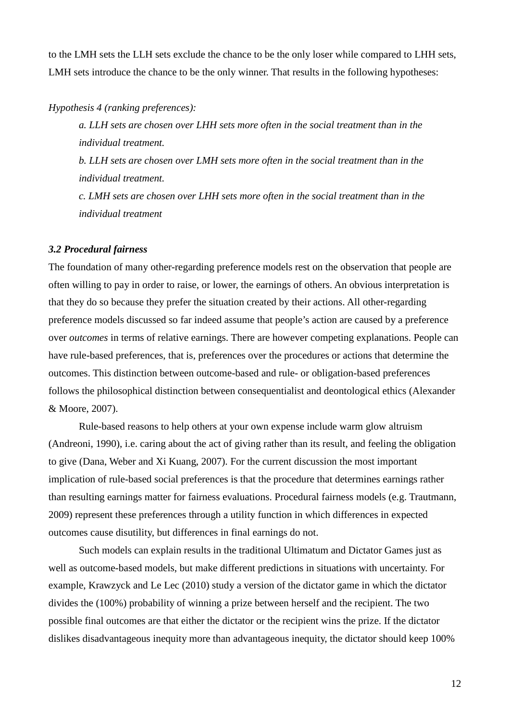to the LMH sets the LLH sets exclude the chance to be the only loser while compared to LHH sets, LMH sets introduce the chance to be the only winner. That results in the following hypotheses:

*Hypothesis 4 (ranking preferences):*

*a. LLH sets are chosen over LHH sets more often in the social treatment than in the individual treatment.*

*b. LLH sets are chosen over LMH sets more often in the social treatment than in the individual treatment.*

*c. LMH sets are chosen over LHH sets more often in the social treatment than in the individual treatment*

#### *3.2 Procedural fairness*

The foundation of many other-regarding preference models rest on the observation that people are often willing to pay in order to raise, or lower, the earnings of others. An obvious interpretation is that they do so because they prefer the situation created by their actions. All other-regarding preference models discussed so far indeed assume that people's action are caused by a preference over *outcomes* in terms of relative earnings. There are however competing explanations. People can have rule-based preferences, that is, preferences over the procedures or actions that determine the outcomes. This distinction between outcome-based and rule- or obligation-based preferences follows the philosophical distinction between consequentialist and deontological ethics (Alexander & Moore, 2007).

Rule-based reasons to help others at your own expense include warm glow altruism (Andreoni, 1990), i.e. caring about the act of giving rather than its result, and feeling the obligation to give (Dana, Weber and Xi Kuang, 2007). For the current discussion the most important implication of rule-based social preferences is that the procedure that determines earnings rather than resulting earnings matter for fairness evaluations. Procedural fairness models (e.g. Trautmann, 2009) represent these preferences through a utility function in which differences in expected outcomes cause disutility, but differences in final earnings do not.

Such models can explain results in the traditional Ultimatum and Dictator Games just as well as outcome-based models, but make different predictions in situations with uncertainty. For example, Krawzyck and Le Lec (2010) study a version of the dictator game in which the dictator divides the (100%) probability of winning a prize between herself and the recipient. The two possible final outcomes are that either the dictator or the recipient wins the prize. If the dictator dislikes disadvantageous inequity more than advantageous inequity, the dictator should keep 100%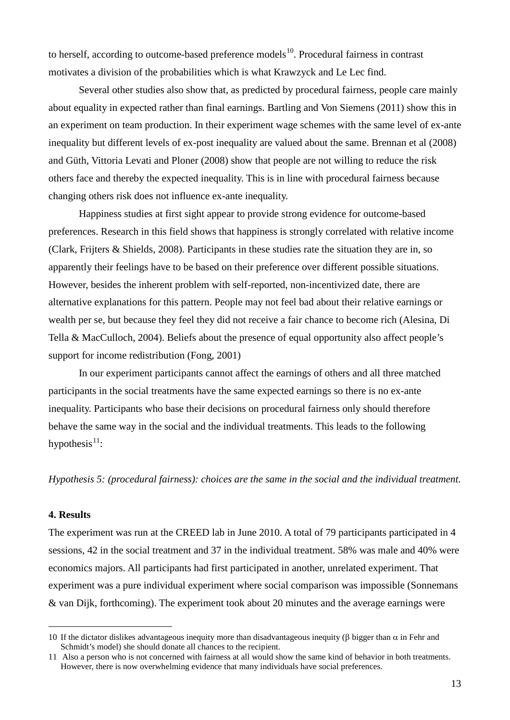to herself, according to outcome-based preference models<sup>10</sup>. Procedural fairness in contrast motivates a division of the probabilities which is what Krawzyck and Le Lec find.

Several other studies also show that, as predicted by procedural fairness, people care mainly about equality in expected rather than final earnings. Bartling and Von Siemens (2011) show this in an experiment on team production. In their experiment wage schemes with the same level of ex-ante inequality but different levels of ex-post inequality are valued about the same. Brennan et al (2008) and Güth, Vittoria Levati and Ploner (2008) show that people are not willing to reduce the risk others face and thereby the expected inequality. This is in line with procedural fairness because changing others risk does not influence ex-ante inequality.

Happiness studies at first sight appear to provide strong evidence for outcome-based preferences. Research in this field shows that happiness is strongly correlated with relative income (Clark, Frijters & Shields, 2008). Participants in these studies rate the situation they are in, so apparently their feelings have to be based on their preference over different possible situations. However, besides the inherent problem with self-reported, non-incentivized date, there are alternative explanations for this pattern. People may not feel bad about their relative earnings or wealth per se, but because they feel they did not receive a fair chance to become rich (Alesina, Di Tella & MacCulloch, 2004). Beliefs about the presence of equal opportunity also affect people's support for income redistribution (Fong, 2001)

In our experiment participants cannot affect the earnings of others and all three matched participants in the social treatments have the same expected earnings so there is no ex-ante inequality. Participants who base their decisions on procedural fairness only should therefore behave the same way in the social and the individual treatments. This leads to the following hypothesis $^{11}$  $^{11}$  $^{11}$ :

*Hypothesis 5: (procedural fairness): choices are the same in the social and the individual treatment.*

# **4. Results**

<u>.</u>

The experiment was run at the CREED lab in June 2010. A total of 79 participants participated in 4 sessions, 42 in the social treatment and 37 in the individual treatment. 58% was male and 40% were economics majors. All participants had first participated in another, unrelated experiment. That experiment was a pure individual experiment where social comparison was impossible (Sonnemans & van Dijk, forthcoming). The experiment took about 20 minutes and the average earnings were

<span id="page-13-0"></span><sup>10</sup> If the dictator dislikes advantageous inequity more than disadvantageous inequity (β bigger than  $\alpha$  in Fehr and Schmidt's model) she should donate all chances to the recipient.

<span id="page-13-1"></span><sup>11</sup> Also a person who is not concerned with fairness at all would show the same kind of behavior in both treatments. However, there is now overwhelming evidence that many individuals have social preferences.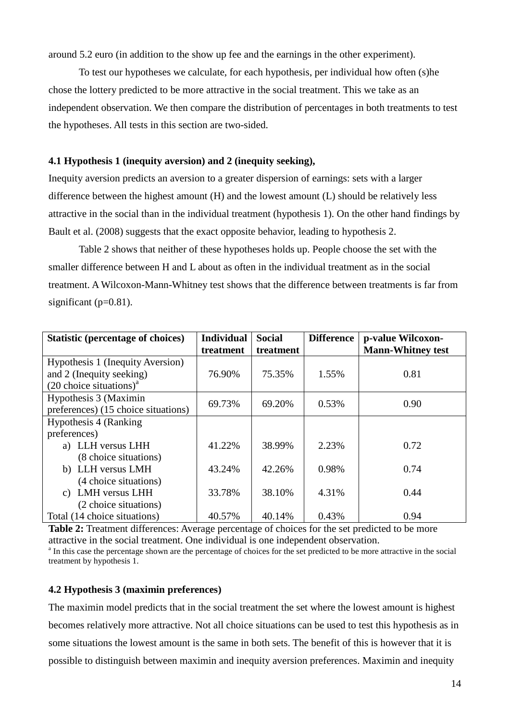around 5.2 euro (in addition to the show up fee and the earnings in the other experiment).

To test our hypotheses we calculate, for each hypothesis, per individual how often (s)he chose the lottery predicted to be more attractive in the social treatment. This we take as an independent observation. We then compare the distribution of percentages in both treatments to test the hypotheses. All tests in this section are two-sided.

# **4.1 Hypothesis 1 (inequity aversion) and 2 (inequity seeking),**

Inequity aversion predicts an aversion to a greater dispersion of earnings: sets with a larger difference between the highest amount (H) and the lowest amount (L) should be relatively less attractive in the social than in the individual treatment (hypothesis 1). On the other hand findings by Bault et al. (2008) suggests that the exact opposite behavior, leading to hypothesis 2.

Table 2 shows that neither of these hypotheses holds up. People choose the set with the smaller difference between H and L about as often in the individual treatment as in the social treatment. A Wilcoxon-Mann-Whitney test shows that the difference between treatments is far from significant ( $p=0.81$ ).

| <b>Statistic (percentage of choices)</b> | <b>Individual</b> | <b>Social</b> | <b>Difference</b> | p-value Wilcoxon-        |  |
|------------------------------------------|-------------------|---------------|-------------------|--------------------------|--|
|                                          | treatment         | treatment     |                   | <b>Mann-Whitney test</b> |  |
| Hypothesis 1 (Inequity Aversion)         |                   |               |                   |                          |  |
| and 2 (Inequity seeking)                 | 76.90%            | 75.35%        | 1.55%             | 0.81                     |  |
| $(20 \text{ choice situations})^a$       |                   |               |                   |                          |  |
| Hypothesis 3 (Maximin                    | 69.73%            | 69.20%        | 0.53%             | 0.90                     |  |
| preferences) (15 choice situations)      |                   |               |                   |                          |  |
| Hypothesis 4 (Ranking)                   |                   |               |                   |                          |  |
| preferences)                             |                   |               |                   |                          |  |
| a) LLH versus LHH                        | 41.22%            | 38.99%        | 2.23%             | 0.72                     |  |
| (8 choice situations)                    |                   |               |                   |                          |  |
| b) LLH versus LMH                        | 43.24%            | 42.26%        | 0.98%             | 0.74                     |  |
| (4 choice situations)                    |                   |               |                   |                          |  |
| <b>LMH</b> versus LHH<br>C)              | 33.78%            | 38.10%        | 4.31%             | 0.44                     |  |
| (2 choice situations)                    |                   |               |                   |                          |  |
| Total (14 choice situations)             | 40.57%            | 40.14%        | 0.43%             | 0.94                     |  |

**Table 2:** Treatment differences: Average percentage of choices for the set predicted to be more attractive in the social treatment. One individual is one independent observation. <sup>a</sup> In this case the percentage shown are the percentage of choices for the set predicted to be more attractive in the social

treatment by hypothesis 1.

# **4.2 Hypothesis 3 (maximin preferences)**

The maximin model predicts that in the social treatment the set where the lowest amount is highest becomes relatively more attractive. Not all choice situations can be used to test this hypothesis as in some situations the lowest amount is the same in both sets. The benefit of this is however that it is possible to distinguish between maximin and inequity aversion preferences. Maximin and inequity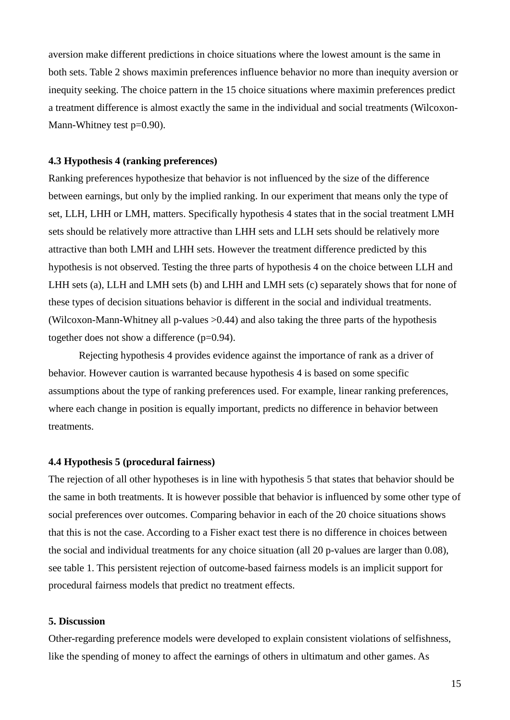aversion make different predictions in choice situations where the lowest amount is the same in both sets. Table 2 shows maximin preferences influence behavior no more than inequity aversion or inequity seeking. The choice pattern in the 15 choice situations where maximin preferences predict a treatment difference is almost exactly the same in the individual and social treatments (Wilcoxon-Mann-Whitney test p=0.90).

#### **4.3 Hypothesis 4 (ranking preferences)**

Ranking preferences hypothesize that behavior is not influenced by the size of the difference between earnings, but only by the implied ranking. In our experiment that means only the type of set, LLH, LHH or LMH, matters. Specifically hypothesis 4 states that in the social treatment LMH sets should be relatively more attractive than LHH sets and LLH sets should be relatively more attractive than both LMH and LHH sets. However the treatment difference predicted by this hypothesis is not observed. Testing the three parts of hypothesis 4 on the choice between LLH and LHH sets (a), LLH and LMH sets (b) and LHH and LMH sets (c) separately shows that for none of these types of decision situations behavior is different in the social and individual treatments. (Wilcoxon-Mann-Whitney all p-values >0.44) and also taking the three parts of the hypothesis together does not show a difference (p=0.94).

Rejecting hypothesis 4 provides evidence against the importance of rank as a driver of behavior. However caution is warranted because hypothesis 4 is based on some specific assumptions about the type of ranking preferences used. For example, linear ranking preferences, where each change in position is equally important, predicts no difference in behavior between treatments.

#### **4.4 Hypothesis 5 (procedural fairness)**

The rejection of all other hypotheses is in line with hypothesis 5 that states that behavior should be the same in both treatments. It is however possible that behavior is influenced by some other type of social preferences over outcomes. Comparing behavior in each of the 20 choice situations shows that this is not the case. According to a Fisher exact test there is no difference in choices between the social and individual treatments for any choice situation (all 20 p-values are larger than 0.08), see table 1. This persistent rejection of outcome-based fairness models is an implicit support for procedural fairness models that predict no treatment effects.

#### **5. Discussion**

Other-regarding preference models were developed to explain consistent violations of selfishness, like the spending of money to affect the earnings of others in ultimatum and other games. As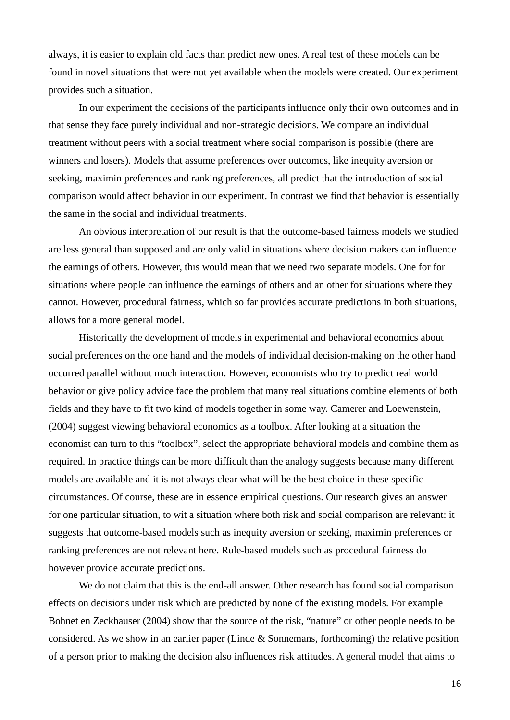always, it is easier to explain old facts than predict new ones. A real test of these models can be found in novel situations that were not yet available when the models were created. Our experiment provides such a situation.

In our experiment the decisions of the participants influence only their own outcomes and in that sense they face purely individual and non-strategic decisions. We compare an individual treatment without peers with a social treatment where social comparison is possible (there are winners and losers). Models that assume preferences over outcomes, like inequity aversion or seeking, maximin preferences and ranking preferences, all predict that the introduction of social comparison would affect behavior in our experiment. In contrast we find that behavior is essentially the same in the social and individual treatments.

An obvious interpretation of our result is that the outcome-based fairness models we studied are less general than supposed and are only valid in situations where decision makers can influence the earnings of others. However, this would mean that we need two separate models. One for for situations where people can influence the earnings of others and an other for situations where they cannot. However, procedural fairness, which so far provides accurate predictions in both situations, allows for a more general model.

Historically the development of models in experimental and behavioral economics about social preferences on the one hand and the models of individual decision-making on the other hand occurred parallel without much interaction. However, economists who try to predict real world behavior or give policy advice face the problem that many real situations combine elements of both fields and they have to fit two kind of models together in some way. Camerer and Loewenstein, (2004) suggest viewing behavioral economics as a toolbox. After looking at a situation the economist can turn to this "toolbox", select the appropriate behavioral models and combine them as required. In practice things can be more difficult than the analogy suggests because many different models are available and it is not always clear what will be the best choice in these specific circumstances. Of course, these are in essence empirical questions. Our research gives an answer for one particular situation, to wit a situation where both risk and social comparison are relevant: it suggests that outcome-based models such as inequity aversion or seeking, maximin preferences or ranking preferences are not relevant here. Rule-based models such as procedural fairness do however provide accurate predictions.

We do not claim that this is the end-all answer. Other research has found social comparison effects on decisions under risk which are predicted by none of the existing models. For example Bohnet en Zeckhauser (2004) show that the source of the risk, "nature" or other people needs to be considered. As we show in an earlier paper (Linde & Sonnemans, forthcoming) the relative position of a person prior to making the decision also influences risk attitudes. A general model that aims to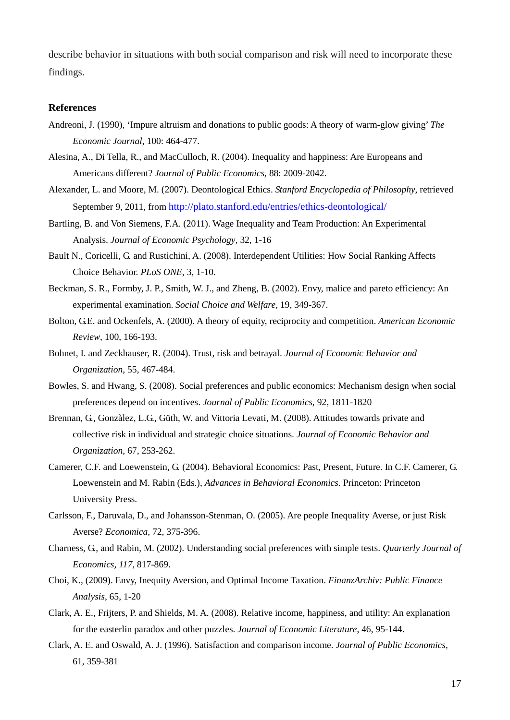describe behavior in situations with both social comparison and risk will need to incorporate these findings.

#### **References**

- Andreoni, J. (1990), 'Impure altruism and donations to public goods: A theory of warm-glow giving' *The Economic Journal*, 100: 464-477.
- Alesina, A., Di Tella, R., and MacCulloch, R. (2004). Inequality and happiness: Are Europeans and Americans different? *Journal of Public Economics,* 88: 2009-2042.
- Alexander, L. and Moore, M. (2007). Deontological Ethics. *Stanford Encyclopedia of Philosophy*, retrieved September 9, 2011, from<http://plato.stanford.edu/entries/ethics-deontological/>
- Bartling, B. and Von Siemens, F.A. (2011). Wage Inequality and Team Production: An Experimental Analysis. *Journal of Economic Psychology*, 32, 1-16
- Bault N., Coricelli, G. and Rustichini, A. (2008). Interdependent Utilities: How Social Ranking Affects Choice Behavior. *PLoS ONE*, 3, 1-10.
- Beckman, S. R., Formby, J. P., Smith, W. J., and Zheng, B. (2002). Envy, malice and pareto efficiency: An experimental examination. *Social Choice and Welfare,* 19, 349-367.
- Bolton, G.E. and Ockenfels, A. (2000). A theory of equity, reciprocity and competition. *American Economic Review*, 100, 166-193.
- Bohnet, I. and Zeckhauser, R. (2004). Trust, risk and betrayal. *Journal of Economic Behavior and Organization*, 55, 467-484.
- Bowles, S. and Hwang, S. (2008). Social preferences and public economics: Mechanism design when social preferences depend on incentives. *Journal of Public Economics*, 92, 1811-1820
- Brennan, G., Gonzàlez, L.G., Güth, W. and Vittoria Levati, M. (2008). Attitudes towards private and collective risk in individual and strategic choice situations. *Journal of Economic Behavior and Organization*, 67, 253-262.
- Camerer, C.F. and Loewenstein, G. (2004). Behavioral Economics: Past, Present, Future. In C.F. Camerer, G. Loewenstein and M. Rabin (Eds.), *Advances in Behavioral Economics.* Princeton: Princeton University Press.
- Carlsson, F., Daruvala, D., and Johansson-Stenman, O. (2005). Are people Inequality Averse, or just Risk Averse? *Economica,* 72, 375-396.
- Charness, G., and Rabin, M. (2002). Understanding social preferences with simple tests. *Quarterly Journal of Economics, 117*, 817-869.
- Choi, K., (2009). Envy, Inequity Aversion, and Optimal Income Taxation. *FinanzArchiv: Public Finance Analysis*, 65, 1-20
- Clark, A. E., Frijters, P. and Shields, M. A. (2008). Relative income, happiness, and utility: An explanation for the easterlin paradox and other puzzles. *Journal of Economic Literature*, 46, 95-144.
- Clark, A. E. and Oswald, A. J. (1996). Satisfaction and comparison income. *Journal of Public Economics,* 61, 359-381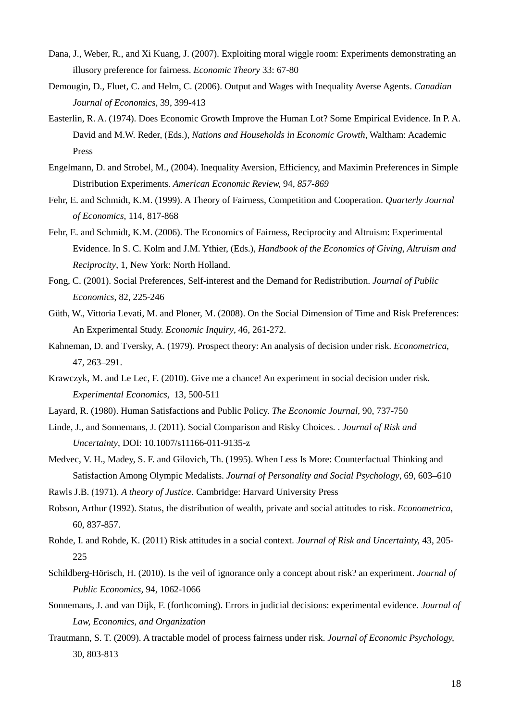- Dana, J., Weber, R., and Xi Kuang, J. (2007). Exploiting moral wiggle room: Experiments demonstrating an illusory preference for fairness. *Economic Theory* 33: 67-80
- Demougin, D., Fluet, C. and Helm, C. (2006). Output and Wages with Inequality Averse Agents. *Canadian Journal of Economics*, 39, 399-413
- Easterlin, R. A. (1974). Does Economic Growth Improve the Human Lot? Some Empirical Evidence. In P. A. David and M.W. Reder, (Eds.), *Nations and Households in Economic Growth*, Waltham: Academic Press
- Engelmann, D. and Strobel, M., (2004). Inequality Aversion, Efficiency, and Maximin Preferences in Simple Distribution Experiments. *American Economic Review,* 94*, 857-869*
- Fehr, E. and Schmidt, K.M. (1999). A Theory of Fairness, Competition and Cooperation. *Quarterly Journal of Economics*, 114, 817-868
- Fehr, E. and Schmidt, K.M. (2006). The Economics of Fairness, Reciprocity and Altruism: Experimental Evidence. In S. C. Kolm and J.M. Ythier, (Eds.), *Handbook of the Economics of Giving, Altruism and Reciprocity*, 1, New York: North Holland.
- Fong, C. (2001). Social Preferences, Self-interest and the Demand for Redistribution. *Journal of Public Economics*, 82, 225-246
- Güth, W., Vittoria Levati, M. and Ploner, M. (2008). On the Social Dimension of Time and Risk Preferences: An Experimental Study. *Economic Inquiry*, 46, 261-272.
- Kahneman, D. and Tversky, A. (1979). Prospect theory: An analysis of decision under risk. *Econometrica*, 47, 263–291.
- Krawczyk, M. and Le Lec, F. (2010). Give me a chance! An experiment in social decision under risk. *Experimental Economics*, 13, 500-511
- Layard, R. (1980). Human Satisfactions and Public Policy. *The Economic Journal,* 90, 737-750
- Linde, J., and Sonnemans, J. (2011). Social Comparison and Risky Choices. . *Journal of Risk and Uncertainty*, DOI: 10.1007/s11166-011-9135-z
- Medvec, V. H., Madey, S. F. and Gilovich, Th. (1995). When Less Is More: Counterfactual Thinking and Satisfaction Among Olympic Medalists. *Journal of Personality and Social Psychology*, 69, 603–610
- Rawls J.B. (1971). *A theory of Justice*. Cambridge: Harvard University Press
- Robson, Arthur (1992). Status, the distribution of wealth, private and social attitudes to risk. *Econometrica,* 60, 837-857.
- Rohde, I. and Rohde, K. (2011) Risk attitudes in a social context. *Journal of Risk and Uncertainty,* 43, 205- 225
- Schildberg-Hörisch, H. (2010). Is the veil of ignorance only a concept about risk? an experiment. *Journal of Public Economics,* 94, 1062-1066
- Sonnemans, J. and van Dijk, F. (forthcoming). Errors in judicial decisions: experimental evidence. *Journal of Law, Economics, and Organization*
- Trautmann, S. T. (2009). A tractable model of process fairness under risk. *Journal of Economic Psychology,* 30, 803-813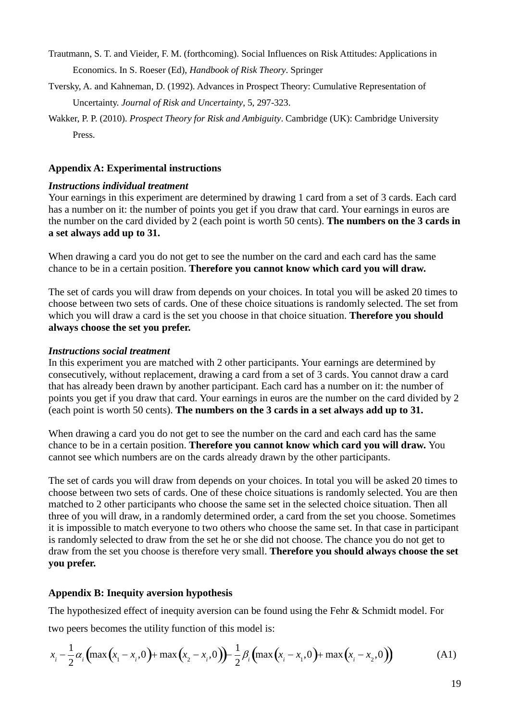- Trautmann, S. T. and Vieider, F. M. (forthcoming). Social Influences on Risk Attitudes: Applications in Economics. In S. Roeser (Ed), *Handbook of Risk Theory*. Springer
- Tversky, A. and Kahneman, D. (1992). Advances in Prospect Theory: Cumulative Representation of Uncertainty. *Journal of Risk and Uncertainty*, 5, 297-323.
- Wakker, P. P. (2010). *Prospect Theory for Risk and Ambiguity*. Cambridge (UK): Cambridge University Press.

# **Appendix A: Experimental instructions**

# *Instructions individual treatment*

Your earnings in this experiment are determined by drawing 1 card from a set of 3 cards. Each card has a number on it: the number of points you get if you draw that card. Your earnings in euros are the number on the card divided by 2 (each point is worth 50 cents). **The numbers on the 3 cards in a set always add up to 31.**

When drawing a card you do not get to see the number on the card and each card has the same chance to be in a certain position. **Therefore you cannot know which card you will draw.**

The set of cards you will draw from depends on your choices. In total you will be asked 20 times to choose between two sets of cards. One of these choice situations is randomly selected. The set from which you will draw a card is the set you choose in that choice situation. **Therefore you should always choose the set you prefer.**

# *Instructions social treatment*

In this experiment you are matched with 2 other participants. Your earnings are determined by consecutively, without replacement, drawing a card from a set of 3 cards. You cannot draw a card that has already been drawn by another participant. Each card has a number on it: the number of points you get if you draw that card. Your earnings in euros are the number on the card divided by 2 (each point is worth 50 cents). **The numbers on the 3 cards in a set always add up to 31.**

When drawing a card you do not get to see the number on the card and each card has the same chance to be in a certain position. **Therefore you cannot know which card you will draw.** You cannot see which numbers are on the cards already drawn by the other participants.

The set of cards you will draw from depends on your choices. In total you will be asked 20 times to choose between two sets of cards. One of these choice situations is randomly selected. You are then matched to 2 other participants who choose the same set in the selected choice situation. Then all three of you will draw, in a randomly determined order, a card from the set you choose. Sometimes it is impossible to match everyone to two others who choose the same set. In that case in participant is randomly selected to draw from the set he or she did not choose. The chance you do not get to draw from the set you choose is therefore very small. **Therefore you should always choose the set you prefer.**

# **Appendix B: Inequity aversion hypothesis**

The hypothesized effect of inequity aversion can be found using the Fehr & Schmidt model. For two peers becomes the utility function of this model is:

$$
x_i - \frac{1}{2}\alpha_i \left( \max\left(x_1 - x_i, 0\right) + \max\left(x_2 - x_i, 0\right) \right) - \frac{1}{2}\beta_i \left( \max\left(x_i - x_1, 0\right) + \max\left(x_i - x_2, 0\right) \right) \tag{A1}
$$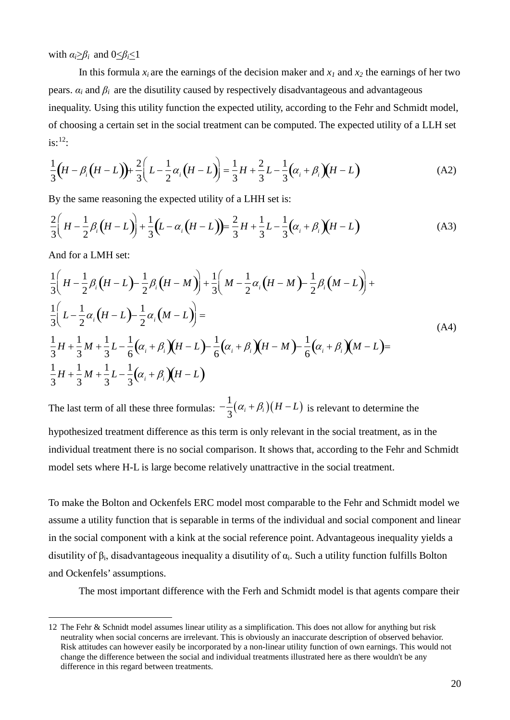with  $\alpha_i > \beta_i$  and  $0 < \beta_i < 1$ 

In this formula  $x_i$  are the earnings of the decision maker and  $x_i$  and  $x_2$  the earnings of her two pears.  $\alpha_i$  and  $\beta_i$  are the disutility caused by respectively disadvantageous and advantageous inequality. Using this utility function the expected utility, according to the Fehr and Schmidt model, of choosing a certain set in the social treatment can be computed. The expected utility of a LLH set is: $^{12}$  $^{12}$  $^{12}$ :

$$
\frac{1}{3}\left(H - \beta_i\left(H - L\right)\right) + \frac{2}{3}\left(L - \frac{1}{2}\alpha_i\left(H - L\right)\right) = \frac{1}{3}H + \frac{2}{3}L - \frac{1}{3}\left(\alpha_i + \beta_i\right)\left(H - L\right)
$$
(A2)

By the same reasoning the expected utility of a LHH set is:

$$
\frac{2}{3}\left(H - \frac{1}{2}\beta_i\left(H - L\right)\right) + \frac{1}{3}\left(L - \alpha_i\left(H - L\right)\right) = \frac{2}{3}H + \frac{1}{3}L - \frac{1}{3}\left(\alpha_i + \beta_i\right)\left(H - L\right)
$$
(A3)

And for a LMH set:

$$
\frac{1}{3}\left(H - \frac{1}{2}\beta_i\left(H - L\right) - \frac{1}{2}\beta_i\left(H - M\right)\right) + \frac{1}{3}\left(M - \frac{1}{2}\alpha_i\left(H - M\right) - \frac{1}{2}\beta_i\left(M - L\right)\right) +
$$
\n
$$
\frac{1}{3}\left(L - \frac{1}{2}\alpha_i\left(H - L\right) - \frac{1}{2}\alpha_i\left(M - L\right)\right) =
$$
\n
$$
\frac{1}{3}H + \frac{1}{3}M + \frac{1}{3}L - \frac{1}{6}\left(\alpha_i + \beta_i\right)\left(H - L\right) - \frac{1}{6}\left(\alpha_i + \beta_i\right)\left(H - M\right) - \frac{1}{6}\left(\alpha_i + \beta_i\right)\left(M - L\right) =
$$
\n
$$
\frac{1}{3}H + \frac{1}{3}M + \frac{1}{3}L - \frac{1}{3}\left(\alpha_i + \beta_i\right)\left(H - L\right)
$$
\n(A4)

The last term of all these three formulas:  $-\frac{1}{3}(\alpha_i + \beta_i)(H - L)$  is relevant to determine the

hypothesized treatment difference as this term is only relevant in the social treatment, as in the individual treatment there is no social comparison. It shows that, according to the Fehr and Schmidt model sets where H-L is large become relatively unattractive in the social treatment.

To make the Bolton and Ockenfels ERC model most comparable to the Fehr and Schmidt model we assume a utility function that is separable in terms of the individual and social component and linear in the social component with a kink at the social reference point. Advantageous inequality yields a disutility of  $\beta_i$ , disadvantageous inequality a disutility of  $\alpha_i$ . Such a utility function fulfills Bolton and Ockenfels' assumptions.

The most important difference with the Ferh and Schmidt model is that agents compare their

<span id="page-20-0"></span> <sup>12</sup> The Fehr & Schnidt model assumes linear utility as a simplification. This does not allow for anything but risk neutrality when social concerns are irrelevant. This is obviously an inaccurate description of observed behavior. Risk attitudes can however easily be incorporated by a non-linear utility function of own earnings. This would not change the difference between the social and individual treatments illustrated here as there wouldn't be any difference in this regard between treatments.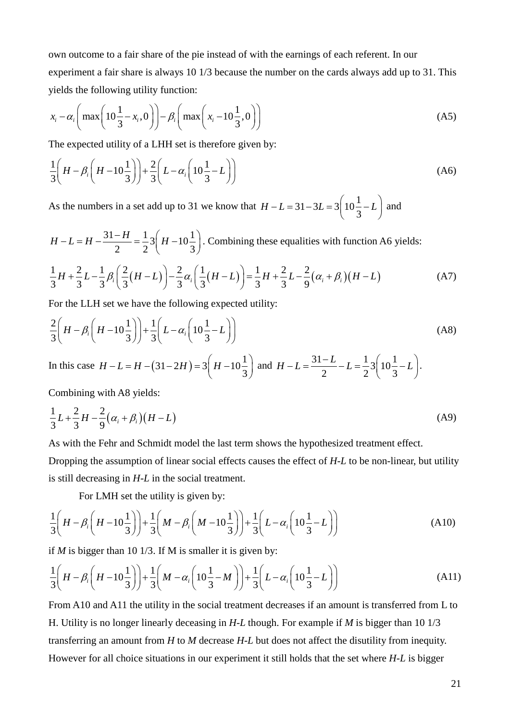own outcome to a fair share of the pie instead of with the earnings of each referent. In our experiment a fair share is always 10 1/3 because the number on the cards always add up to 31. This yields the following utility function:

$$
x_i - \alpha_i \left( \max \left( 10 \frac{1}{3} - x_i, 0 \right) \right) - \beta_i \left( \max \left( x_i - 10 \frac{1}{3}, 0 \right) \right) \tag{A5}
$$

The expected utility of a LHH set is therefore given by:

$$
\frac{1}{3}\left(H - \beta_i\left(H - 10\frac{1}{3}\right)\right) + \frac{2}{3}\left(L - \alpha_i\left(10\frac{1}{3} - L\right)\right) \tag{A6}
$$

As the numbers in a set add up to 31 we know that  $H - L = 31 - 3L = 3 \left( \frac{10}{2} \right)$  $H - L = 31 - 3L = 3\left(10\frac{1}{3} - L\right)$  and

$$
H - L = H - \frac{31 - H}{2} = \frac{1}{2} 3 \left( H - 10 \frac{1}{3} \right)
$$
. Combining these equalities with function A6 yields:

$$
\frac{1}{3}H + \frac{2}{3}L - \frac{1}{3}\beta_i \left(\frac{2}{3}(H-L)\right) - \frac{2}{3}\alpha_i \left(\frac{1}{3}(H-L)\right) = \frac{1}{3}H + \frac{2}{3}L - \frac{2}{9}(\alpha_i + \beta_i)(H-L)
$$
(A7)

For the LLH set we have the following expected utility:

$$
\frac{2}{3}\left(H - \beta_i\left(H - 10\frac{1}{3}\right)\right) + \frac{1}{3}\left(L - \alpha_i\left(10\frac{1}{3} - L\right)\right) \tag{A8}
$$

In this case  $H - L = H - (31 - 2H) = 3 \left( H - 10 \frac{1}{2} \right)$  $H - L = H - (31 - 2H) = 3\left(H - 10\frac{1}{3}\right)$  and  $H - L = \frac{31 - L}{2} - L = \frac{1}{2}3\left(10\frac{1}{3} - L\right)$ .

Combining with A8 yields:

$$
\frac{1}{3}L + \frac{2}{3}H - \frac{2}{9}(\alpha_i + \beta_i)(H - L)
$$
 (A9)

As with the Fehr and Schmidt model the last term shows the hypothesized treatment effect.

Dropping the assumption of linear social effects causes the effect of *H-L* to be non-linear, but utility is still decreasing in *H-L* in the social treatment.

For LMH set the utility is given by:

$$
\frac{1}{3}\left(H - \beta_i\left(H - 10\frac{1}{3}\right)\right) + \frac{1}{3}\left(M - \beta_i\left(M - 10\frac{1}{3}\right)\right) + \frac{1}{3}\left(L - \alpha_i\left(10\frac{1}{3} - L\right)\right)
$$
(A10)

if *M* is bigger than 10 1/3. If M is smaller it is given by:

$$
\frac{1}{3}\left(H - \beta_i\left(H - 10\frac{1}{3}\right)\right) + \frac{1}{3}\left(M - \alpha_i\left(10\frac{1}{3} - M\right)\right) + \frac{1}{3}\left(L - \alpha_i\left(10\frac{1}{3} - L\right)\right) \tag{A11}
$$

From A10 and A11 the utility in the social treatment decreases if an amount is transferred from L to H. Utility is no longer linearly deceasing in *H-L* though. For example if *M* is bigger than 10 1/3 transferring an amount from *H* to *M* decrease *H-L* but does not affect the disutility from inequity. However for all choice situations in our experiment it still holds that the set where *H-L* is bigger